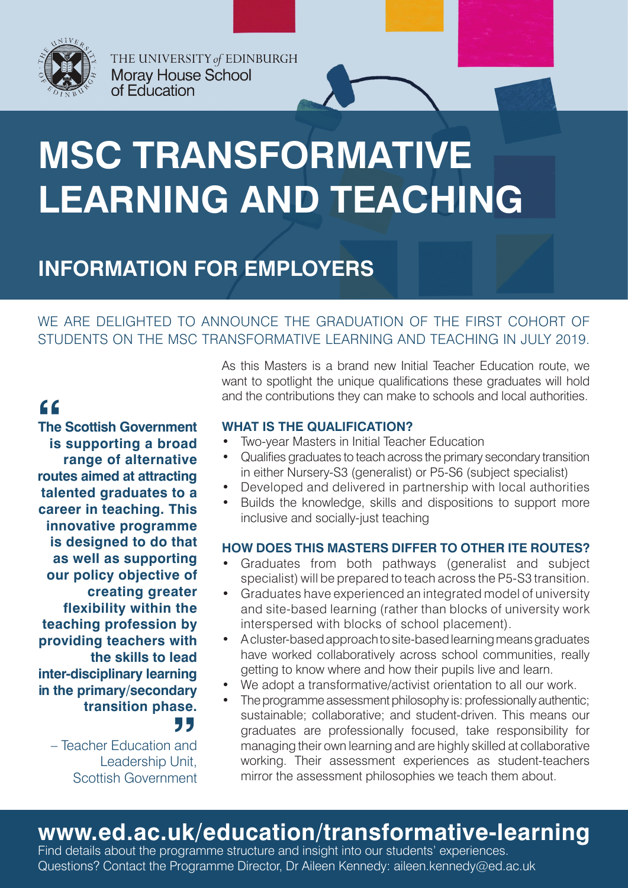

# **MSC TRANSFORMATIVE LEARNING AND TEACHING**

# **INFORMATION FOR EMPLOYERS**

## WE ARE DELIGHTED TO ANNOUNCE THE GRADUATION OF THE FIRST COHORT OF STUDENTS ON THE MSC TRANSFORMATIVE LEARNING AND TEACHING IN JULY 2019.

As this Masters is a brand new Initial Teacher Education route, we want to spotlight the unique qualifications these graduates will hold and the contributions they can make to schools and local authorities.

## **"**

**The Scottish Government is supporting a broad range of alternative routes aimed at attracting talented graduates to a career in teaching. This innovative programme is designed to do that as well as supporting our policy objective of creating greater flexibility within the teaching profession by providing teachers with the skills to lead inter-disciplinary learning in the primary/secondary transition phase.** 

– Teacher Education and Leadership Unit, Scottish Government **"**<br>and<br>Jnit.

#### **WHAT IS THE QUALIFICATION?**

- Two-year Masters in Initial Teacher Education
- Qualifies graduates to teach across the primary secondary transition in either Nursery-S3 (generalist) or P5-S6 (subject specialist)
- Developed and delivered in partnership with local authorities
- Builds the knowledge, skills and dispositions to support more inclusive and socially-just teaching

#### **HOW DOES THIS MASTERS DIFFER TO OTHER ITE ROUTES?**

- Graduates from both pathways (generalist and subject specialist) will be prepared to teach across the P5-S3 transition.
- Graduates have experienced an integrated model of university and site-based learning (rather than blocks of university work interspersed with blocks of school placement).
- A cluster-based approach to site-based learning means graduates have worked collaboratively across school communities, really getting to know where and how their pupils live and learn.
- We adopt a transformative/activist orientation to all our work.
- The programme assessment philosophy is: professionally authentic; sustainable; collaborative; and student-driven. This means our graduates are professionally focused, take responsibility for managing their own learning and are highly skilled at collaborative working. Their assessment experiences as student-teachers mirror the assessment philosophies we teach them about.

## **www.ed.ac.uk/education/transformative-learning**

Find details about the programme structure and insight into our students' experiences. Questions? Contact the Programme Director, Dr Aileen Kennedy: aileen.kennedy@ed.ac.uk